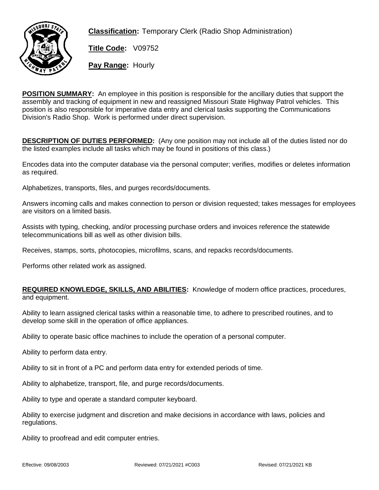

**Classification:** Temporary Clerk (Radio Shop Administration)

**Title Code:** V09752

**Pay Range:** Hourly

**POSITION SUMMARY:** An employee in this position is responsible for the ancillary duties that support the assembly and tracking of equipment in new and reassigned Missouri State Highway Patrol vehicles. This position is also responsible for imperative data entry and clerical tasks supporting the Communications Division's Radio Shop. Work is performed under direct supervision.

**DESCRIPTION OF DUTIES PERFORMED:** (Any one position may not include all of the duties listed nor do the listed examples include all tasks which may be found in positions of this class.)

Encodes data into the computer database via the personal computer; verifies, modifies or deletes information as required.

Alphabetizes, transports, files, and purges records/documents.

Answers incoming calls and makes connection to person or division requested; takes messages for employees are visitors on a limited basis.

Assists with typing, checking, and/or processing purchase orders and invoices reference the statewide telecommunications bill as well as other division bills.

Receives, stamps, sorts, photocopies, microfilms, scans, and repacks records/documents.

Performs other related work as assigned.

## **REQUIRED KNOWLEDGE, SKILLS, AND ABILITIES:** Knowledge of modern office practices, procedures, and equipment.

Ability to learn assigned clerical tasks within a reasonable time, to adhere to prescribed routines, and to develop some skill in the operation of office appliances.

Ability to operate basic office machines to include the operation of a personal computer.

Ability to perform data entry.

Ability to sit in front of a PC and perform data entry for extended periods of time.

Ability to alphabetize, transport, file, and purge records/documents.

Ability to type and operate a standard computer keyboard.

Ability to exercise judgment and discretion and make decisions in accordance with laws, policies and regulations.

Ability to proofread and edit computer entries.